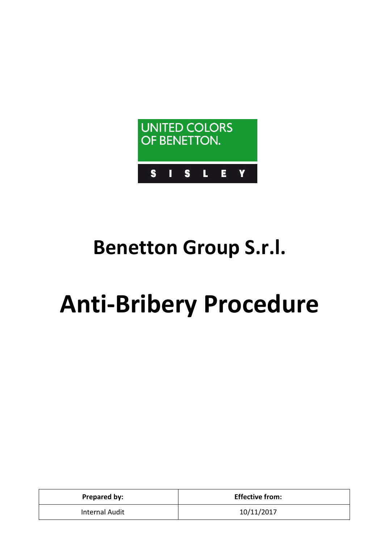

# **Benetton Group S.r.l.**

# **Anti-Bribery Procedure**

| Prepared by:   | <b>Effective from:</b> |
|----------------|------------------------|
| Internal Audit | 10/11/2017             |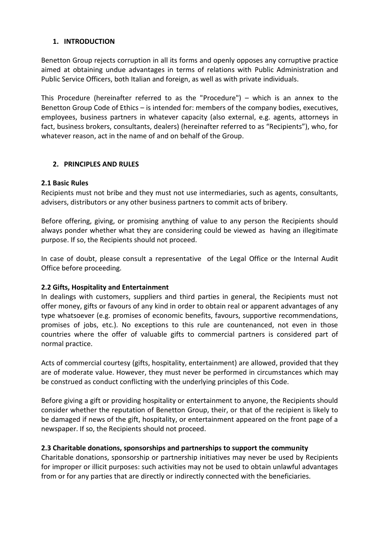# **1. INTRODUCTION**

Benetton Group rejects corruption in all its forms and openly opposes any corruptive practice aimed at obtaining undue advantages in terms of relations with Public Administration and Public Service Officers, both Italian and foreign, as well as with private individuals.

This Procedure (hereinafter referred to as the "Procedure") – which is an annex to the Benetton Group Code of Ethics – is intended for: members of the company bodies, executives, employees, business partners in whatever capacity (also external, e.g. agents, attorneys in fact, business brokers, consultants, dealers) (hereinafter referred to as "Recipients"), who, for whatever reason, act in the name of and on behalf of the Group.

# **2. PRINCIPLES AND RULES**

# **2.1 Basic Rules**

Recipients must not bribe and they must not use intermediaries, such as agents, consultants, advisers, distributors or any other business partners to commit acts of bribery.

Before offering, giving, or promising anything of value to any person the Recipients should always ponder whether what they are considering could be viewed as having an illegitimate purpose. If so, the Recipients should not proceed.

In case of doubt, please consult a representative of the Legal Office or the Internal Audit Office before proceeding.

# **2.2 Gifts, Hospitality and Entertainment**

In dealings with customers, suppliers and third parties in general, the Recipients must not offer money, gifts or favours of any kind in order to obtain real or apparent advantages of any type whatsoever (e.g. promises of economic benefits, favours, supportive recommendations, promises of jobs, etc.). No exceptions to this rule are countenanced, not even in those countries where the offer of valuable gifts to commercial partners is considered part of normal practice.

Acts of commercial courtesy (gifts, hospitality, entertainment) are allowed, provided that they are of moderate value. However, they must never be performed in circumstances which may be construed as conduct conflicting with the underlying principles of this Code.

Before giving a gift or providing hospitality or entertainment to anyone, the Recipients should consider whether the reputation of Benetton Group, their, or that of the recipient is likely to be damaged if news of the gift, hospitality, or entertainment appeared on the front page of a newspaper. If so, the Recipients should not proceed.

# **2.3 Charitable donations, sponsorships and partnerships to support the community**

Charitable donations, sponsorship or partnership initiatives may never be used by Recipients for improper or illicit purposes: such activities may not be used to obtain unlawful advantages from or for any parties that are directly or indirectly connected with the beneficiaries.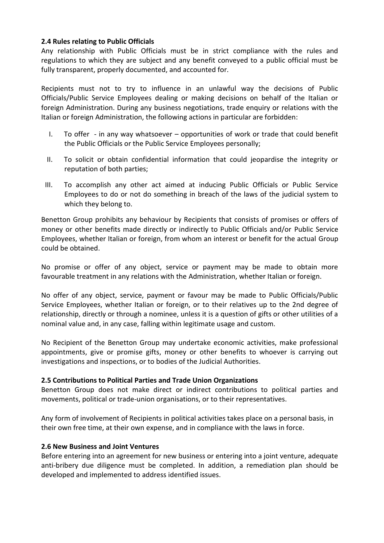# **2.4 Rules relating to Public Officials**

Any relationship with Public Officials must be in strict compliance with the rules and regulations to which they are subject and any benefit conveyed to a public official must be fully transparent, properly documented, and accounted for.

Recipients must not to try to influence in an unlawful way the decisions of Public Officials/Public Service Employees dealing or making decisions on behalf of the Italian or foreign Administration. During any business negotiations, trade enquiry or relations with the Italian or foreign Administration, the following actions in particular are forbidden:

- I. To offer in any way whatsoever opportunities of work or trade that could benefit the Public Officials or the Public Service Employees personally;
- II. To solicit or obtain confidential information that could jeopardise the integrity or reputation of both parties;
- III. To accomplish any other act aimed at inducing Public Officials or Public Service Employees to do or not do something in breach of the laws of the judicial system to which they belong to.

Benetton Group prohibits any behaviour by Recipients that consists of promises or offers of money or other benefits made directly or indirectly to Public Officials and/or Public Service Employees, whether Italian or foreign, from whom an interest or benefit for the actual Group could be obtained.

No promise or offer of any object, service or payment may be made to obtain more favourable treatment in any relations with the Administration, whether Italian or foreign.

No offer of any object, service, payment or favour may be made to Public Officials/Public Service Employees, whether Italian or foreign, or to their relatives up to the 2nd degree of relationship, directly or through a nominee, unless it is a question of gifts or other utilities of a nominal value and, in any case, falling within legitimate usage and custom.

No Recipient of the Benetton Group may undertake economic activities, make professional appointments, give or promise gifts, money or other benefits to whoever is carrying out investigations and inspections, or to bodies of the Judicial Authorities.

#### **2.5 Contributions to Political Parties and Trade Union Organizations**

Benetton Group does not make direct or indirect contributions to political parties and movements, political or trade-union organisations, or to their representatives.

Any form of involvement of Recipients in political activities takes place on a personal basis, in their own free time, at their own expense, and in compliance with the laws in force.

#### **2.6 New Business and Joint Ventures**

Before entering into an agreement for new business or entering into a joint venture, adequate anti-bribery due diligence must be completed. In addition, a remediation plan should be developed and implemented to address identified issues.